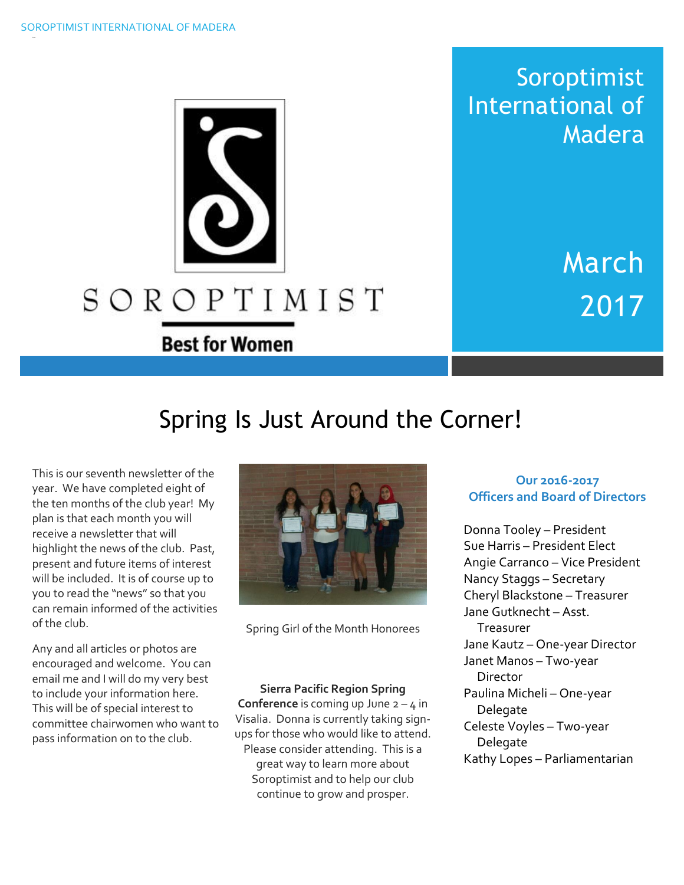

Soroptimist International of Madera

> March 2017

# Spring Is Just Around the Corner!

This is our seventh newsletter of the year. We have completed eight of the ten months of the club year! My plan is that each month you will receive a newsletter that will highlight the news of the club. Past, present and future items of interest will be included. It is of course up to you to read the "news" so that you can remain informed of the activities of the club.

Any and all articles or photos are encouraged and welcome. You can email me and I will do my very best to include your information here. This will be of special interest to committee chairwomen who want to pass information on to the club.



Spring Girl of the Month Honorees

**Sierra Pacific Region Spring Conference** is coming up June  $2 - 4$  in Visalia. Donna is currently taking signups for those who would like to attend. Please consider attending. This is a great way to learn more about Soroptimist and to help our club continue to grow and prosper.

#### **Our 2016-2017 Officers and Board of Directors**

Donna Tooley – President Sue Harris – President Elect Angie Carranco – Vice President Nancy Staggs – Secretary Cheryl Blackstone – Treasurer Jane Gutknecht – Asst. **Treasurer** Jane Kautz – One-year Director Janet Manos – Two-year Director Paulina Micheli – One-year Delegate Celeste Voyles – Two-year Delegate Kathy Lopes – Parliamentarian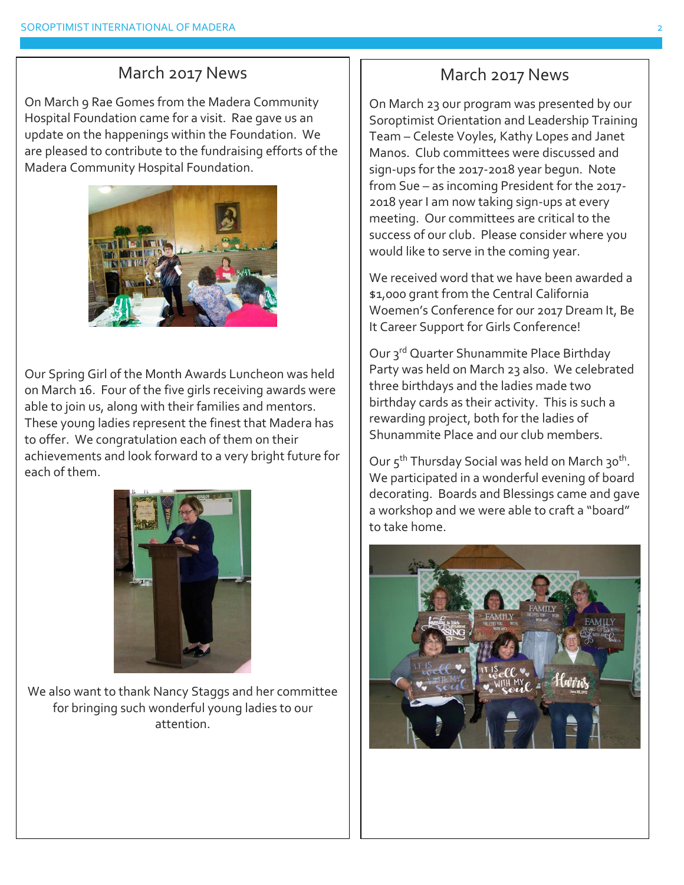### March 2017 News

On March 9 Rae Gomes from the Madera Community Hospital Foundation came for a visit. Rae gave us an update on the happenings within the Foundation. We are pleased to contribute to the fundraising efforts of the Madera Community Hospital Foundation.



Our Spring Girl of the Month Awards Luncheon was held on March 16. Four of the five girls receiving awards were able to join us, along with their families and mentors. These young ladies represent the finest that Madera has to offer. We congratulation each of them on their achievements and look forward to a very bright future for each of them.



We also want to thank Nancy Staggs and her committee for bringing such wonderful young ladies to our attention.

## March 2017 News

On March 23 our program was presented by our Soroptimist Orientation and Leadership Training Team – Celeste Voyles, Kathy Lopes and Janet Manos. Club committees were discussed and sign-ups for the 2017-2018 year begun. Note from Sue – as incoming President for the 2017- 2018 year I am now taking sign-ups at every meeting. Our committees are critical to the success of our club. Please consider where you would like to serve in the coming year.

We received word that we have been awarded a \$1,000 grant from the Central California Woemen's Conference for our 2017 Dream It, Be It Career Support for Girls Conference!

Our 3<sup>rd</sup> Quarter Shunammite Place Birthday Party was held on March 23 also. We celebrated three birthdays and the ladies made two birthday cards as their activity. This is such a rewarding project, both for the ladies of Shunammite Place and our club members.

Our 5<sup>th</sup> Thursday Social was held on March 30<sup>th</sup>. We participated in a wonderful evening of board decorating. Boards and Blessings came and gave a workshop and we were able to craft a "board" to take home.

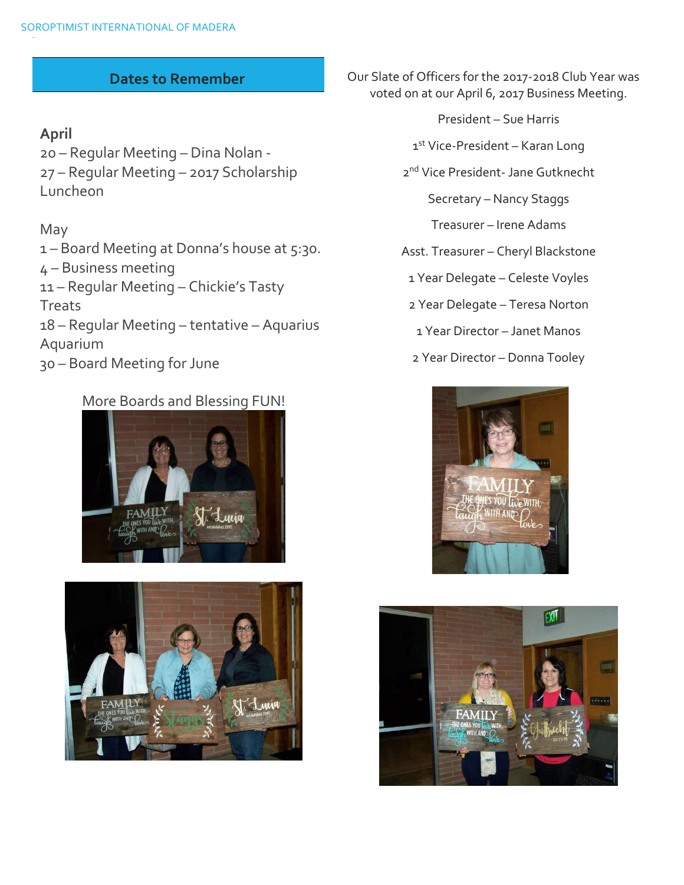#### **Dates to Remember**

#### **April**

20 – Regular Meeting – Dina Nolan - 27 – Regular Meeting – 2017 Scholarship Luncheon

#### May

– Board Meeting at Donna's house at 5:30. – Business meeting – Regular Meeting – Chickie's Tasty **Treats** – Regular Meeting – tentative – Aquarius Aquarium – Board Meeting for June

#### More Boards and Blessing FUN!





Our Slate of Officers for the 2017-2018 Club Year was voted on at our April 6, 2017 Business Meeting.

- President Sue Harris
- 1st Vice-President Karan Long
- 2 nd Vice President- Jane Gutknecht

Secretary – Nancy Staggs

Treasurer – Irene Adams

Asst. Treasurer – Cheryl Blackstone

1 Year Delegate – Celeste Voyles

2 Year Delegate – Teresa Norton

1 Year Director – Janet Manos

2 Year Director – Donna Tooley